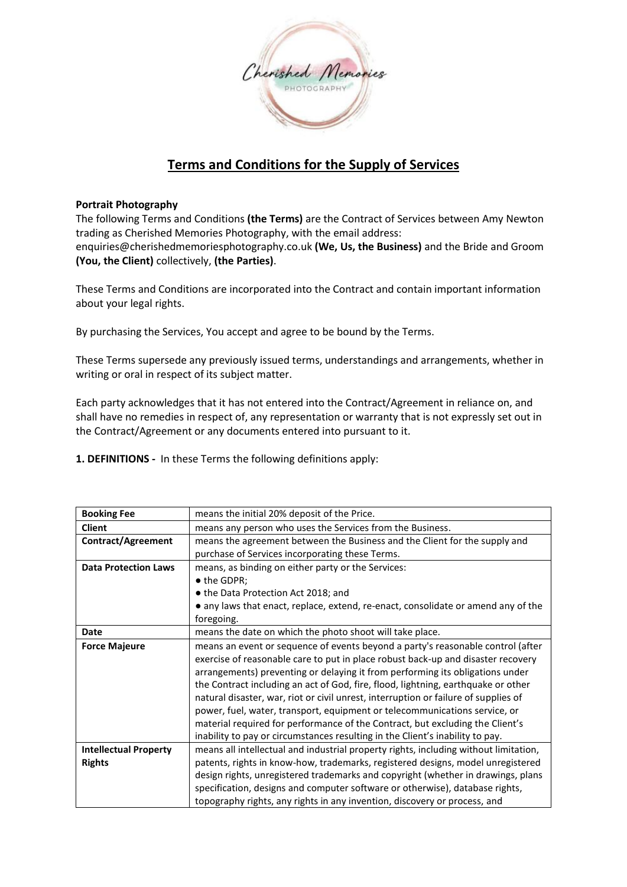

# **Terms and Conditions for the Supply of Services**

# **Portrait Photography**

The following Terms and Conditions **(the Terms)** are the Contract of Services between Amy Newton trading as Cherished Memories Photography, with the email address: enquiries@cherishedmemoriesphotography.co.uk **(We, Us, the Business)** and the Bride and Groom **(You, the Client)** collectively, **(the Parties)**.

These Terms and Conditions are incorporated into the Contract and contain important information about your legal rights.

By purchasing the Services, You accept and agree to be bound by the Terms.

These Terms supersede any previously issued terms, understandings and arrangements, whether in writing or oral in respect of its subject matter.

Each party acknowledges that it has not entered into the Contract/Agreement in reliance on, and shall have no remedies in respect of, any representation or warranty that is not expressly set out in the Contract/Agreement or any documents entered into pursuant to it.

**1. DEFINITIONS -** In these Terms the following definitions apply:

| <b>Booking Fee</b>           | means the initial 20% deposit of the Price.                                          |
|------------------------------|--------------------------------------------------------------------------------------|
| <b>Client</b>                | means any person who uses the Services from the Business.                            |
| Contract/Agreement           | means the agreement between the Business and the Client for the supply and           |
|                              | purchase of Services incorporating these Terms.                                      |
| <b>Data Protection Laws</b>  | means, as binding on either party or the Services:                                   |
|                              | • the GDPR;                                                                          |
|                              | • the Data Protection Act 2018; and                                                  |
|                              | • any laws that enact, replace, extend, re-enact, consolidate or amend any of the    |
|                              | foregoing.                                                                           |
| <b>Date</b>                  | means the date on which the photo shoot will take place.                             |
| <b>Force Majeure</b>         | means an event or sequence of events beyond a party's reasonable control (after      |
|                              | exercise of reasonable care to put in place robust back-up and disaster recovery     |
|                              | arrangements) preventing or delaying it from performing its obligations under        |
|                              | the Contract including an act of God, fire, flood, lightning, earthquake or other    |
|                              | natural disaster, war, riot or civil unrest, interruption or failure of supplies of  |
|                              | power, fuel, water, transport, equipment or telecommunications service, or           |
|                              | material required for performance of the Contract, but excluding the Client's        |
|                              | inability to pay or circumstances resulting in the Client's inability to pay.        |
| <b>Intellectual Property</b> | means all intellectual and industrial property rights, including without limitation, |
| <b>Rights</b>                | patents, rights in know-how, trademarks, registered designs, model unregistered      |
|                              | design rights, unregistered trademarks and copyright (whether in drawings, plans     |
|                              | specification, designs and computer software or otherwise), database rights,         |
|                              | topography rights, any rights in any invention, discovery or process, and            |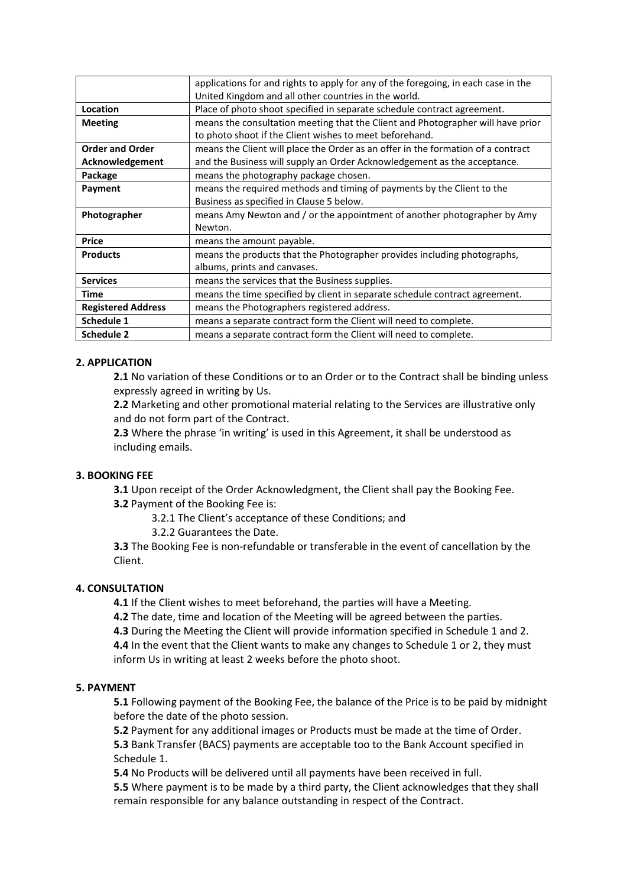|                           | applications for and rights to apply for any of the foregoing, in each case in the |
|---------------------------|------------------------------------------------------------------------------------|
|                           | United Kingdom and all other countries in the world.                               |
| Location                  | Place of photo shoot specified in separate schedule contract agreement.            |
| <b>Meeting</b>            | means the consultation meeting that the Client and Photographer will have prior    |
|                           | to photo shoot if the Client wishes to meet beforehand.                            |
| <b>Order and Order</b>    | means the Client will place the Order as an offer in the formation of a contract   |
| Acknowledgement           | and the Business will supply an Order Acknowledgement as the acceptance.           |
| Package                   | means the photography package chosen.                                              |
| Payment                   | means the required methods and timing of payments by the Client to the             |
|                           | Business as specified in Clause 5 below.                                           |
| Photographer              | means Amy Newton and / or the appointment of another photographer by Amy           |
|                           |                                                                                    |
|                           | Newton.                                                                            |
| <b>Price</b>              | means the amount payable.                                                          |
| <b>Products</b>           | means the products that the Photographer provides including photographs,           |
|                           | albums, prints and canvases.                                                       |
| <b>Services</b>           | means the services that the Business supplies.                                     |
| Time                      | means the time specified by client in separate schedule contract agreement.        |
| <b>Registered Address</b> | means the Photographers registered address.                                        |
| <b>Schedule 1</b>         | means a separate contract form the Client will need to complete.                   |
| <b>Schedule 2</b>         | means a separate contract form the Client will need to complete.                   |

# **2. APPLICATION**

**2.1** No variation of these Conditions or to an Order or to the Contract shall be binding unless expressly agreed in writing by Us.

**2.2** Marketing and other promotional material relating to the Services are illustrative only and do not form part of the Contract.

2.3 Where the phrase 'in writing' is used in this Agreement, it shall be understood as including emails.

## **3. BOOKING FEE**

**3.1** Upon receipt of the Order Acknowledgment, the Client shall pay the Booking Fee.

**3.2** Payment of the Booking Fee is:

3.2.1 The Client's acceptance of these Conditions; and

3.2.2 Guarantees the Date.

**3.3** The Booking Fee is non-refundable or transferable in the event of cancellation by the Client.

## **4. CONSULTATION**

**4.1** If the Client wishes to meet beforehand, the parties will have a Meeting.

**4.2** The date, time and location of the Meeting will be agreed between the parties.

**4.3** During the Meeting the Client will provide information specified in Schedule 1 and 2.

**4.4** In the event that the Client wants to make any changes to Schedule 1 or 2, they must inform Us in writing at least 2 weeks before the photo shoot.

## **5. PAYMENT**

**5.1** Following payment of the Booking Fee, the balance of the Price is to be paid by midnight before the date of the photo session.

**5.2** Payment for any additional images or Products must be made at the time of Order. **5.3** Bank Transfer (BACS) payments are acceptable too to the Bank Account specified in Schedule 1.

**5.4** No Products will be delivered until all payments have been received in full.

**5.5** Where payment is to be made by a third party, the Client acknowledges that they shall remain responsible for any balance outstanding in respect of the Contract.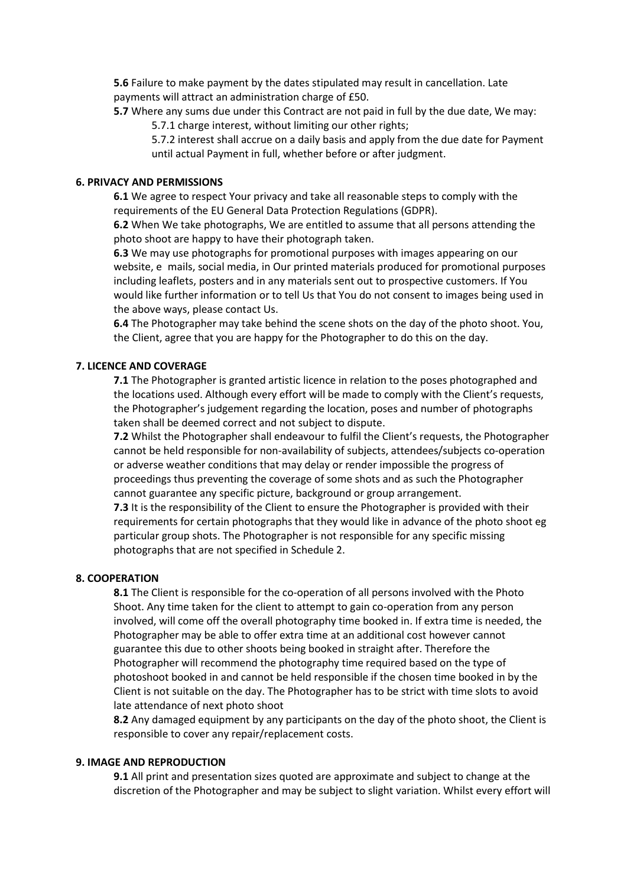**5.6** Failure to make payment by the dates stipulated may result in cancellation. Late payments will attract an administration charge of £50.

**5.7** Where any sums due under this Contract are not paid in full by the due date, We may: 5.7.1 charge interest, without limiting our other rights;

5.7.2 interest shall accrue on a daily basis and apply from the due date for Payment until actual Payment in full, whether before or after judgment.

# **6. PRIVACY AND PERMISSIONS**

**6.1** We agree to respect Your privacy and take all reasonable steps to comply with the requirements of the EU General Data Protection Regulations (GDPR).

**6.2** When We take photographs, We are entitled to assume that all persons attending the photo shoot are happy to have their photograph taken.

**6.3** We may use photographs for promotional purposes with images appearing on our website, e mails, social media, in Our printed materials produced for promotional purposes including leaflets, posters and in any materials sent out to prospective customers. If You would like further information or to tell Us that You do not consent to images being used in the above ways, please contact Us.

**6.4** The Photographer may take behind the scene shots on the day of the photo shoot. You, the Client, agree that you are happy for the Photographer to do this on the day.

# **7. LICENCE AND COVERAGE**

**7.1** The Photographer is granted artistic licence in relation to the poses photographed and the locations used. Although every effort will be made to comply with the Client's requests, the Photographer's judgement regarding the location, poses and number of photographs taken shall be deemed correct and not subject to dispute.

**7.2** Whilst the Photographer shall endeavour to fulfil the Client's requests, the Photographer cannot be held responsible for non-availability of subjects, attendees/subjects co-operation or adverse weather conditions that may delay or render impossible the progress of proceedings thus preventing the coverage of some shots and as such the Photographer cannot guarantee any specific picture, background or group arrangement.

**7.3** It is the responsibility of the Client to ensure the Photographer is provided with their requirements for certain photographs that they would like in advance of the photo shoot eg particular group shots. The Photographer is not responsible for any specific missing photographs that are not specified in Schedule 2.

## **8. COOPERATION**

**8.1** The Client is responsible for the co-operation of all persons involved with the Photo Shoot. Any time taken for the client to attempt to gain co-operation from any person involved, will come off the overall photography time booked in. If extra time is needed, the Photographer may be able to offer extra time at an additional cost however cannot guarantee this due to other shoots being booked in straight after. Therefore the Photographer will recommend the photography time required based on the type of photoshoot booked in and cannot be held responsible if the chosen time booked in by the Client is not suitable on the day. The Photographer has to be strict with time slots to avoid late attendance of next photo shoot

**8.2** Any damaged equipment by any participants on the day of the photo shoot, the Client is responsible to cover any repair/replacement costs.

# **9. IMAGE AND REPRODUCTION**

**9.1** All print and presentation sizes quoted are approximate and subject to change at the discretion of the Photographer and may be subject to slight variation. Whilst every effort will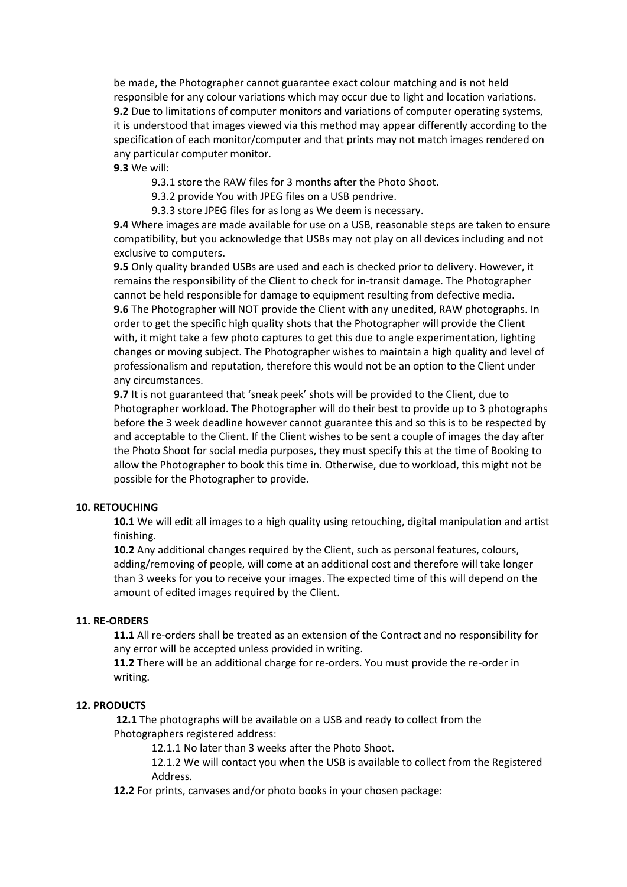be made, the Photographer cannot guarantee exact colour matching and is not held responsible for any colour variations which may occur due to light and location variations. **9.2** Due to limitations of computer monitors and variations of computer operating systems, it is understood that images viewed via this method may appear differently according to the specification of each monitor/computer and that prints may not match images rendered on any particular computer monitor.

# **9.3** We will:

9.3.1 store the RAW files for 3 months after the Photo Shoot.

9.3.2 provide You with JPEG files on a USB pendrive.

9.3.3 store JPEG files for as long as We deem is necessary.

**9.4** Where images are made available for use on a USB, reasonable steps are taken to ensure compatibility, but you acknowledge that USBs may not play on all devices including and not exclusive to computers.

**9.5** Only quality branded USBs are used and each is checked prior to delivery. However, it remains the responsibility of the Client to check for in-transit damage. The Photographer cannot be held responsible for damage to equipment resulting from defective media. **9.6** The Photographer will NOT provide the Client with any unedited, RAW photographs. In order to get the specific high quality shots that the Photographer will provide the Client with, it might take a few photo captures to get this due to angle experimentation, lighting changes or moving subject. The Photographer wishes to maintain a high quality and level of professionalism and reputation, therefore this would not be an option to the Client under any circumstances.

**9.7** It is not guaranteed that 'sneak peek' shots will be provided to the Client, due to Photographer workload. The Photographer will do their best to provide up to 3 photographs before the 3 week deadline however cannot guarantee this and so this is to be respected by and acceptable to the Client. If the Client wishes to be sent a couple of images the day after the Photo Shoot for social media purposes, they must specify this at the time of Booking to allow the Photographer to book this time in. Otherwise, due to workload, this might not be possible for the Photographer to provide.

# **10. RETOUCHING**

**10.1** We will edit all images to a high quality using retouching, digital manipulation and artist finishing.

**10.2** Any additional changes required by the Client, such as personal features, colours, adding/removing of people, will come at an additional cost and therefore will take longer than 3 weeks for you to receive your images. The expected time of this will depend on the amount of edited images required by the Client.

## **11. RE-ORDERS**

**11.1** All re-orders shall be treated as an extension of the Contract and no responsibility for any error will be accepted unless provided in writing.

**11.2** There will be an additional charge for re-orders. You must provide the re-order in writing.

## **12. PRODUCTS**

**12.1** The photographs will be available on a USB and ready to collect from the Photographers registered address:

12.1.1 No later than 3 weeks after the Photo Shoot.

12.1.2 We will contact you when the USB is available to collect from the Registered Address.

**12.2** For prints, canvases and/or photo books in your chosen package: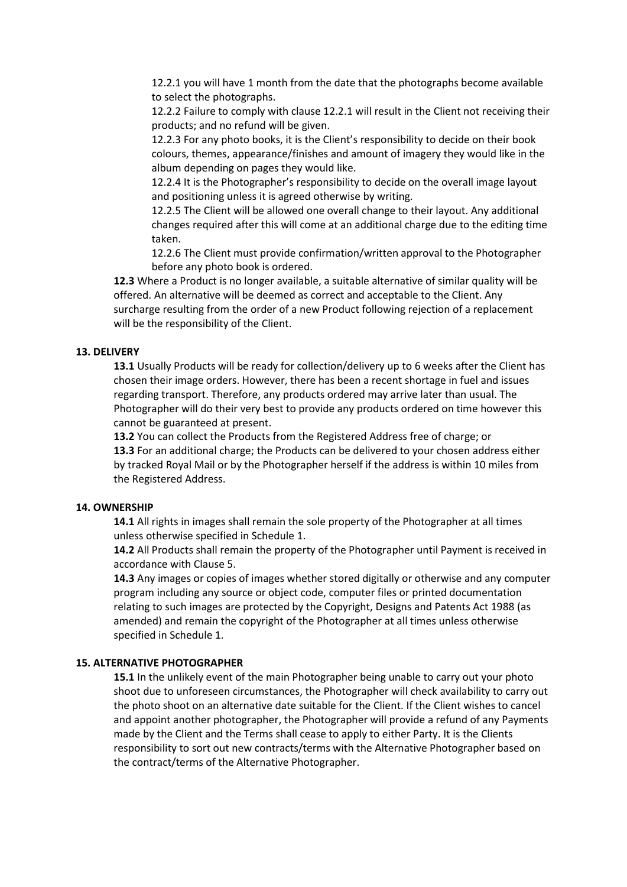12.2.1 you will have 1 month from the date that the photographs become available to select the photographs.

12.2.2 Failure to comply with clause 12.2.1 will result in the Client not receiving their products; and no refund will be given.

12.2.3 For any photo books, it is the Client's responsibility to decide on their book colours, themes, appearance/finishes and amount of imagery they would like in the album depending on pages they would like.

12.2.4 It is the Photographer's responsibility to decide on the overall image layout and positioning unless it is agreed otherwise by writing.

12.2.5 The Client will be allowed one overall change to their layout. Any additional changes required after this will come at an additional charge due to the editing time taken.

12.2.6 The Client must provide confirmation/written approval to the Photographer before any photo book is ordered.

**12.3** Where a Product is no longer available, a suitable alternative of similar quality will be offered. An alternative will be deemed as correct and acceptable to the Client. Any surcharge resulting from the order of a new Product following rejection of a replacement will be the responsibility of the Client.

## **13. DELIVERY**

**13.1** Usually Products will be ready for collection/delivery up to 6 weeks after the Client has chosen their image orders. However, there has been a recent shortage in fuel and issues regarding transport. Therefore, any products ordered may arrive later than usual. The Photographer will do their very best to provide any products ordered on time however this cannot be guaranteed at present.

**13.2** You can collect the Products from the Registered Address free of charge; or **13.3** For an additional charge; the Products can be delivered to your chosen address either by tracked Royal Mail or by the Photographer herself if the address is within 10 miles from the Registered Address.

## **14. OWNERSHIP**

**14.1** All rights in images shall remain the sole property of the Photographer at all times unless otherwise specified in Schedule 1.

**14.2** All Products shall remain the property of the Photographer until Payment is received in accordance with Clause 5.

**14.3** Any images or copies of images whether stored digitally or otherwise and any computer program including any source or object code, computer files or printed documentation relating to such images are protected by the Copyright, Designs and Patents Act 1988 (as amended) and remain the copyright of the Photographer at all times unless otherwise specified in Schedule 1.

## **15. ALTERNATIVE PHOTOGRAPHER**

**15.1** In the unlikely event of the main Photographer being unable to carry out your photo shoot due to unforeseen circumstances, the Photographer will check availability to carry out the photo shoot on an alternative date suitable for the Client. If the Client wishes to cancel and appoint another photographer, the Photographer will provide a refund of any Payments made by the Client and the Terms shall cease to apply to either Party. It is the Clients responsibility to sort out new contracts/terms with the Alternative Photographer based on the contract/terms of the Alternative Photographer.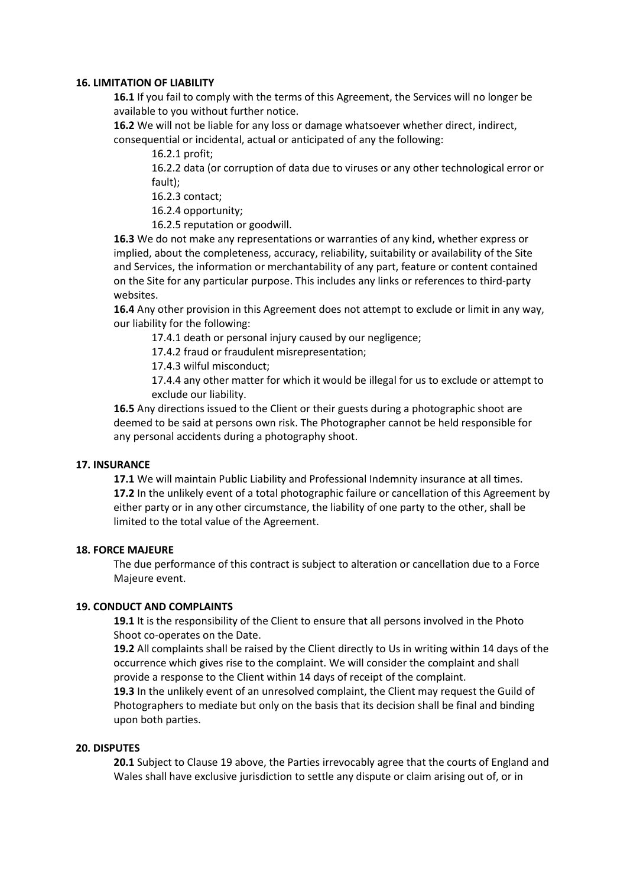## **16. LIMITATION OF LIABILITY**

**16.1** If you fail to comply with the terms of this Agreement, the Services will no longer be available to you without further notice.

**16.2** We will not be liable for any loss or damage whatsoever whether direct, indirect, consequential or incidental, actual or anticipated of any the following:

16.2.1 profit;

16.2.2 data (or corruption of data due to viruses or any other technological error or fault);

16.2.3 contact;

16.2.4 opportunity;

16.2.5 reputation or goodwill.

**16.3** We do not make any representations or warranties of any kind, whether express or implied, about the completeness, accuracy, reliability, suitability or availability of the Site and Services, the information or merchantability of any part, feature or content contained on the Site for any particular purpose. This includes any links or references to third-party websites.

**16.4** Any other provision in this Agreement does not attempt to exclude or limit in any way, our liability for the following:

17.4.1 death or personal injury caused by our negligence;

17.4.2 fraud or fraudulent misrepresentation;

17.4.3 wilful misconduct;

17.4.4 any other matter for which it would be illegal for us to exclude or attempt to exclude our liability.

**16.5** Any directions issued to the Client or their guests during a photographic shoot are deemed to be said at persons own risk. The Photographer cannot be held responsible for any personal accidents during a photography shoot.

## **17. INSURANCE**

**17.1** We will maintain Public Liability and Professional Indemnity insurance at all times. **17.2** In the unlikely event of a total photographic failure or cancellation of this Agreement by either party or in any other circumstance, the liability of one party to the other, shall be limited to the total value of the Agreement.

## **18. FORCE MAJEURE**

The due performance of this contract is subject to alteration or cancellation due to a Force Majeure event.

# **19. CONDUCT AND COMPLAINTS**

**19.1** It is the responsibility of the Client to ensure that all persons involved in the Photo Shoot co-operates on the Date.

**19.2** All complaints shall be raised by the Client directly to Us in writing within 14 days of the occurrence which gives rise to the complaint. We will consider the complaint and shall provide a response to the Client within 14 days of receipt of the complaint.

**19.3** In the unlikely event of an unresolved complaint, the Client may request the Guild of Photographers to mediate but only on the basis that its decision shall be final and binding upon both parties.

## **20. DISPUTES**

**20.1** Subject to Clause 19 above, the Parties irrevocably agree that the courts of England and Wales shall have exclusive jurisdiction to settle any dispute or claim arising out of, or in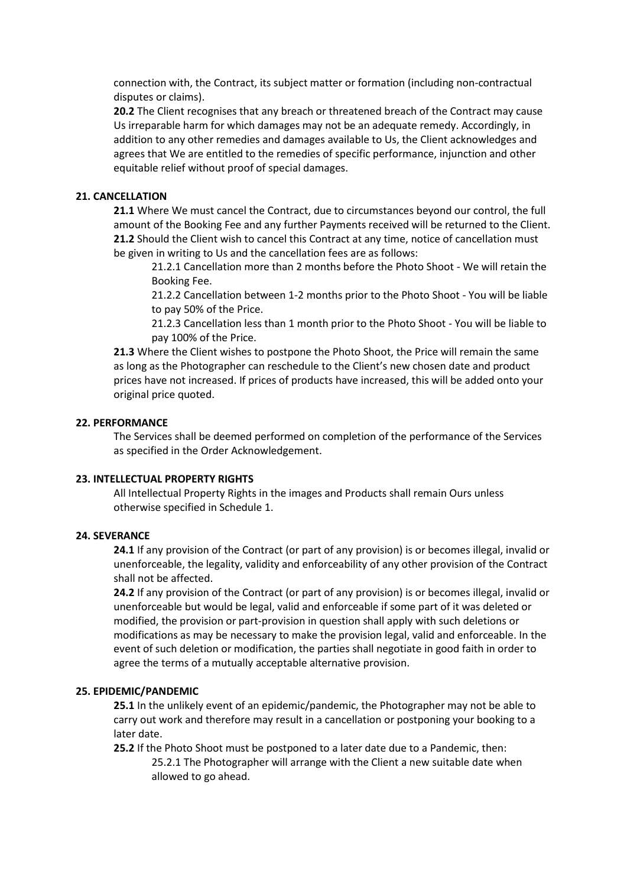connection with, the Contract, its subject matter or formation (including non-contractual disputes or claims).

**20.2** The Client recognises that any breach or threatened breach of the Contract may cause Us irreparable harm for which damages may not be an adequate remedy. Accordingly, in addition to any other remedies and damages available to Us, the Client acknowledges and agrees that We are entitled to the remedies of specific performance, injunction and other equitable relief without proof of special damages.

## **21. CANCELLATION**

**21.1** Where We must cancel the Contract, due to circumstances beyond our control, the full amount of the Booking Fee and any further Payments received will be returned to the Client. **21.2** Should the Client wish to cancel this Contract at any time, notice of cancellation must be given in writing to Us and the cancellation fees are as follows:

21.2.1 Cancellation more than 2 months before the Photo Shoot - We will retain the Booking Fee.

21.2.2 Cancellation between 1-2 months prior to the Photo Shoot - You will be liable to pay 50% of the Price.

21.2.3 Cancellation less than 1 month prior to the Photo Shoot - You will be liable to pay 100% of the Price.

**21.3** Where the Client wishes to postpone the Photo Shoot, the Price will remain the same as long as the Photographer can reschedule to the Client's new chosen date and product prices have not increased. If prices of products have increased, this will be added onto your original price quoted.

## **22. PERFORMANCE**

The Services shall be deemed performed on completion of the performance of the Services as specified in the Order Acknowledgement.

## **23. INTELLECTUAL PROPERTY RIGHTS**

All Intellectual Property Rights in the images and Products shall remain Ours unless otherwise specified in Schedule 1.

## **24. SEVERANCE**

**24.1** If any provision of the Contract (or part of any provision) is or becomes illegal, invalid or unenforceable, the legality, validity and enforceability of any other provision of the Contract shall not be affected.

**24.2** If any provision of the Contract (or part of any provision) is or becomes illegal, invalid or unenforceable but would be legal, valid and enforceable if some part of it was deleted or modified, the provision or part-provision in question shall apply with such deletions or modifications as may be necessary to make the provision legal, valid and enforceable. In the event of such deletion or modification, the parties shall negotiate in good faith in order to agree the terms of a mutually acceptable alternative provision.

## **25. EPIDEMIC/PANDEMIC**

**25.1** In the unlikely event of an epidemic/pandemic, the Photographer may not be able to carry out work and therefore may result in a cancellation or postponing your booking to a later date.

**25.2** If the Photo Shoot must be postponed to a later date due to a Pandemic, then:

25.2.1 The Photographer will arrange with the Client a new suitable date when allowed to go ahead.